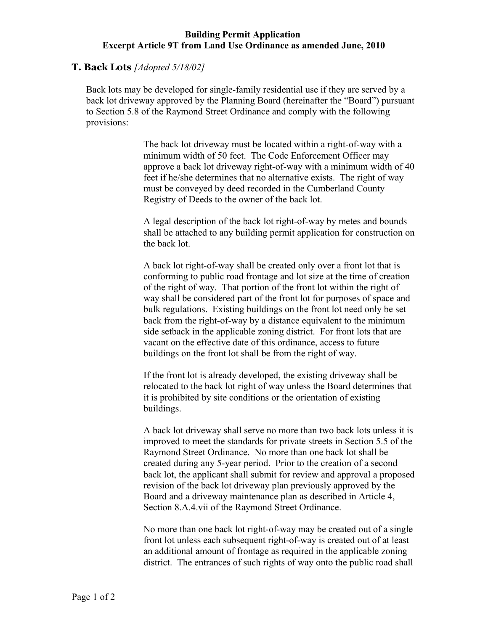## **Building Permit Application Excerpt Article 9T from Land Use Ordinance as amended June, 2010**

## **T. Back Lots** *[Adopted 5/18/02]*

Back lots may be developed for single-family residential use if they are served by a back lot driveway approved by the Planning Board (hereinafter the "Board") pursuant to Section 5.8 of the Raymond Street Ordinance and comply with the following provisions:

> The back lot driveway must be located within a right-of-way with a minimum width of 50 feet. The Code Enforcement Officer may approve a back lot driveway right-of-way with a minimum width of 40 feet if he/she determines that no alternative exists. The right of way must be conveyed by deed recorded in the Cumberland County Registry of Deeds to the owner of the back lot.

> A legal description of the back lot right-of-way by metes and bounds shall be attached to any building permit application for construction on the back lot.

A back lot right-of-way shall be created only over a front lot that is conforming to public road frontage and lot size at the time of creation of the right of way. That portion of the front lot within the right of way shall be considered part of the front lot for purposes of space and bulk regulations. Existing buildings on the front lot need only be set back from the right-of-way by a distance equivalent to the minimum side setback in the applicable zoning district. For front lots that are vacant on the effective date of this ordinance, access to future buildings on the front lot shall be from the right of way.

If the front lot is already developed, the existing driveway shall be relocated to the back lot right of way unless the Board determines that it is prohibited by site conditions or the orientation of existing buildings.

A back lot driveway shall serve no more than two back lots unless it is improved to meet the standards for private streets in Section 5.5 of the Raymond Street Ordinance. No more than one back lot shall be created during any 5-year period. Prior to the creation of a second back lot, the applicant shall submit for review and approval a proposed revision of the back lot driveway plan previously approved by the Board and a driveway maintenance plan as described in Article 4, Section 8.A.4.vii of the Raymond Street Ordinance.

No more than one back lot right-of-way may be created out of a single front lot unless each subsequent right-of-way is created out of at least an additional amount of frontage as required in the applicable zoning district. The entrances of such rights of way onto the public road shall